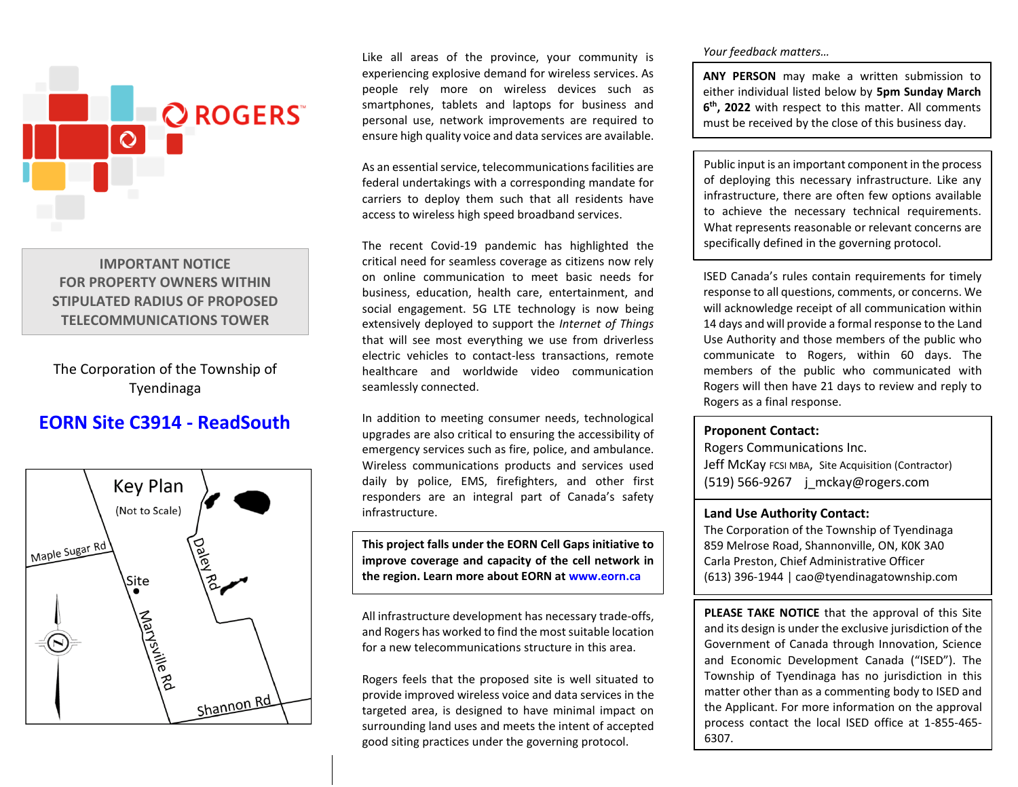

# **IMPORTANT NOTICE FOR PROPERTY OWNERS WITHIN STIPULATED RADIUS OF PROPOSED TELECOMMUNICATIONS TOWER**

The Corporation of the Township of Tyendinaga

# **EORN Site C3914 - ReadSouth**



Like all areas of the province, your community is experiencing explosive demand for wireless services. As people rely more on wireless devices such as smartphones, tablets and laptops for business and personal use, network improvements are required to ensure high quality voice and data services are available.

As an essential service, telecommunications facilities are federal undertakings with a corresponding mandate for carriers to deploy them such that all residents have access to wireless high speed broadband services.

The recent Covid-19 pandemic has highlighted the critical need for seamless coverage as citizens now rely on online communication to meet basic needs for business, education, health care, entertainment, and social engagement. 5G LTE technology is now being extensively deployed to support the *Internet of Things* that will see most everything we use from driverless electric vehicles to contact-less transactions, remote healthcare and worldwide video communication seamlessly connected.

In addition to meeting consumer needs, technological upgrades are also critical to ensuring the accessibility of emergency services such as fire, police, and ambulance. Wireless communications products and services used daily by police, EMS, firefighters, and other first responders are an integral part of Canada's safety infrastructure.

**This project falls under the EORN Cell Gaps initiative to improve coverage and capacity of the cell network in the region. Learn more about EORN at www.eorn.ca**

All infrastructure development has necessary trade-offs, and Rogers has worked to find the most suitable location for a new telecommunications structure in this area.

Rogers feels that the proposed site is well situated to provide improved wireless voice and data services in the targeted area, is designed to have minimal impact on surrounding land uses and meets the intent of accepted good siting practices under the governing protocol.

## *Your feedback matters…*

**ANY PERSON** may make a written submission to either individual listed below by **5pm Sunday March 6 th, 2022** with respect to this matter. All comments must be received by the close of this business day.

Public input is an important component in the process of deploying this necessary infrastructure. Like any infrastructure, there are often few options available to achieve the necessary technical requirements. What represents reasonable or relevant concerns are specifically defined in the governing protocol.

ISED Canada's rules contain requirements for timely response to all questions, comments, or concerns. We will acknowledge receipt of all communication within 14 days and will provide a formal response to the Land Use Authority and those members of the public who communicate to Rogers, within 60 days. The members of the public who communicated with Rogers will then have 21 days to review and reply to Rogers as a final response.

### **Proponent Contact:**

Rogers Communications Inc. Jeff McKay FCSI MBA, Site Acquisition (Contractor) (519) 566-9267  $\mid$  mckay@rogers.com

## **Land Use Authority Contact:**

The Corporation of the Township of Tyendinaga 859 Melrose Road, Shannonville, ON, K0K 3A0 Carla Preston, Chief Administrative Officer (613) 396-1944 | cao@tyendinagatownship.com

**PLEASE TAKE NOTICE** that the approval of this Site and its design is under the exclusive jurisdiction of the Government of Canada through Innovation, Science and Economic Development Canada ("ISED"). The Township of Tyendinaga has no jurisdiction in this matter other than as a commenting body to ISED and the Applicant. For more information on the approval process contact the local ISED office at 1-855-465- 6307.